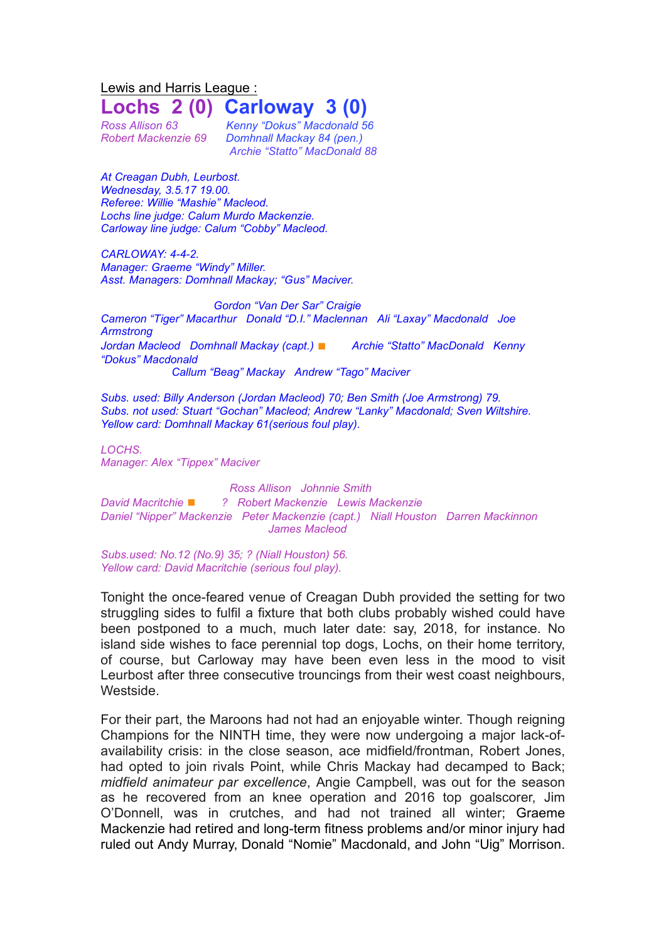Lewis and Harris League : **Lochs 2 (0) Carloway 3 (0)**

*Ross Allison 63 Kenny "Dokus" Macdonald 56 Robert Mackenzie 69 Domhnall Mackay 84 (pen.) Archie "Statto" MacDonald 88*

*At Creagan Dubh, Leurbost. Wednesday, 3.5.17 19.00. Referee: Willie "Mashie" Macleod. Lochs line judge: Calum Murdo Mackenzie. Carloway line judge: Calum "Cobby" Macleod.*

*CARLOWAY: 4-4-2. Manager: Graeme "Windy" Miller. Asst. Managers: Domhnall Mackay; "Gus" Maciver.*

*Gordon "Van Der Sar" Craigie Cameron "Tiger" Macarthur Donald "D.I." Maclennan Ali "Laxay" Macdonald Joe Armstrong Jordan Macleod Domhnall Mackay (capt.)* ◼ *Archie "Statto" MacDonald Kenny "Dokus" Macdonald Callum "Beag" Mackay Andrew "Tago" Maciver*

*Subs. used: Billy Anderson (Jordan Macleod) 70; Ben Smith (Joe Armstrong) 79. Subs. not used: Stuart "Gochan" Macleod; Andrew "Lanky" Macdonald; Sven Wiltshire. Yellow card: Domhnall Mackay 61(serious foul play).*

*LOCHS. Manager: Alex "Tippex" Maciver*

*Ross Allison Johnnie Smith David Macritchie* ◼ *? Robert Mackenzie Lewis Mackenzie Daniel "Nipper" Mackenzie Peter Mackenzie (capt.) Niall Houston Darren Mackinnon James Macleod*

*Subs.used: No.12 (No.9) 35; ? (Niall Houston) 56. Yellow card: David Macritchie (serious foul play).*

Tonight the once-feared venue of Creagan Dubh provided the setting for two struggling sides to fulfil a fixture that both clubs probably wished could have been postponed to a much, much later date: say, 2018, for instance. No island side wishes to face perennial top dogs, Lochs, on their home territory, of course, but Carloway may have been even less in the mood to visit Leurbost after three consecutive trouncings from their west coast neighbours, Westside.

For their part, the Maroons had not had an enjoyable winter. Though reigning Champions for the NINTH time, they were now undergoing a major lack-ofavailability crisis: in the close season, ace midfield/frontman, Robert Jones, had opted to join rivals Point, while Chris Mackay had decamped to Back; *midfield animateur par excellence*, Angie Campbell, was out for the season as he recovered from an knee operation and 2016 top goalscorer, Jim O'Donnell, was in crutches, and had not trained all winter; Graeme Mackenzie had retired and long-term fitness problems and/or minor injury had ruled out Andy Murray, Donald "Nomie" Macdonald, and John "Uig" Morrison.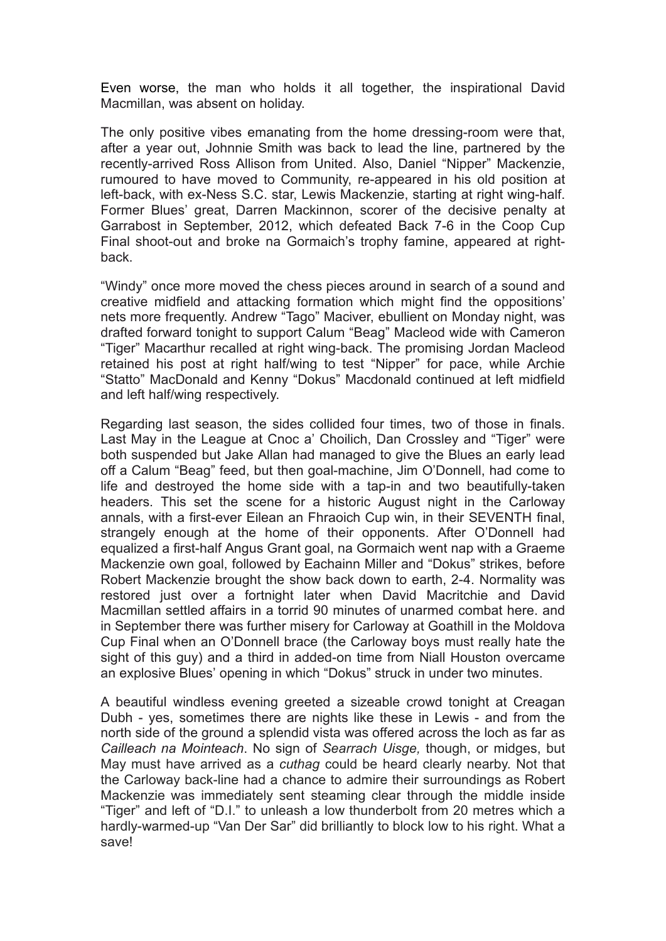Even worse, the man who holds it all together, the inspirational David Macmillan, was absent on holiday.

The only positive vibes emanating from the home dressing-room were that, after a year out, Johnnie Smith was back to lead the line, partnered by the recently-arrived Ross Allison from United. Also, Daniel "Nipper" Mackenzie, rumoured to have moved to Community, re-appeared in his old position at left-back, with ex-Ness S.C. star, Lewis Mackenzie, starting at right wing-half. Former Blues' great, Darren Mackinnon, scorer of the decisive penalty at Garrabost in September, 2012, which defeated Back 7-6 in the Coop Cup Final shoot-out and broke na Gormaich's trophy famine, appeared at rightback.

"Windy" once more moved the chess pieces around in search of a sound and creative midfield and attacking formation which might find the oppositions' nets more frequently. Andrew "Tago" Maciver, ebullient on Monday night, was drafted forward tonight to support Calum "Beag" Macleod wide with Cameron "Tiger" Macarthur recalled at right wing-back. The promising Jordan Macleod retained his post at right half/wing to test "Nipper" for pace, while Archie "Statto" MacDonald and Kenny "Dokus" Macdonald continued at left midfield and left half/wing respectively.

Regarding last season, the sides collided four times, two of those in finals. Last May in the League at Cnoc a' Choilich, Dan Crossley and "Tiger" were both suspended but Jake Allan had managed to give the Blues an early lead off a Calum "Beag" feed, but then goal-machine, Jim O'Donnell, had come to life and destroyed the home side with a tap-in and two beautifully-taken headers. This set the scene for a historic August night in the Carloway annals, with a first-ever Eilean an Fhraoich Cup win, in their SEVENTH final, strangely enough at the home of their opponents. After O'Donnell had equalized a first-half Angus Grant goal, na Gormaich went nap with a Graeme Mackenzie own goal, followed by Eachainn Miller and "Dokus" strikes, before Robert Mackenzie brought the show back down to earth, 2-4. Normality was restored just over a fortnight later when David Macritchie and David Macmillan settled affairs in a torrid 90 minutes of unarmed combat here. and in September there was further misery for Carloway at Goathill in the Moldova Cup Final when an O'Donnell brace (the Carloway boys must really hate the sight of this guy) and a third in added-on time from Niall Houston overcame an explosive Blues' opening in which "Dokus" struck in under two minutes.

A beautiful windless evening greeted a sizeable crowd tonight at Creagan Dubh - yes, sometimes there are nights like these in Lewis - and from the north side of the ground a splendid vista was offered across the loch as far as *Cailleach na Mointeach*. No sign of *Searrach Uisge,* though, or midges, but May must have arrived as a *cuthag* could be heard clearly nearby. Not that the Carloway back-line had a chance to admire their surroundings as Robert Mackenzie was immediately sent steaming clear through the middle inside "Tiger" and left of "D.I." to unleash a low thunderbolt from 20 metres which a hardly-warmed-up "Van Der Sar" did brilliantly to block low to his right. What a save!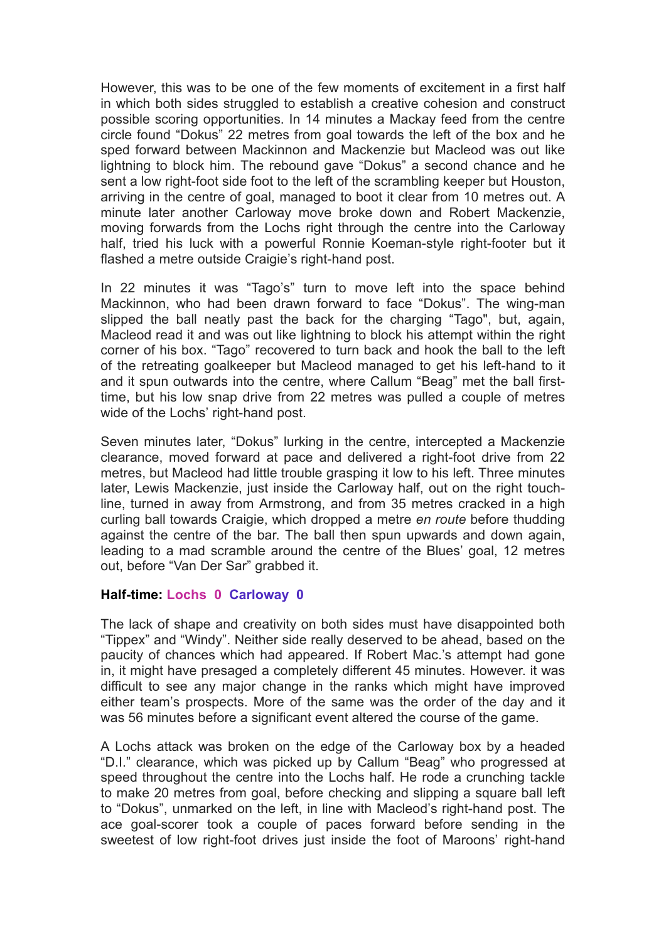However, this was to be one of the few moments of excitement in a first half in which both sides struggled to establish a creative cohesion and construct possible scoring opportunities. In 14 minutes a Mackay feed from the centre circle found "Dokus" 22 metres from goal towards the left of the box and he sped forward between Mackinnon and Mackenzie but Macleod was out like lightning to block him. The rebound gave "Dokus" a second chance and he sent a low right-foot side foot to the left of the scrambling keeper but Houston, arriving in the centre of goal, managed to boot it clear from 10 metres out. A minute later another Carloway move broke down and Robert Mackenzie, moving forwards from the Lochs right through the centre into the Carloway half, tried his luck with a powerful Ronnie Koeman-style right-footer but it flashed a metre outside Craigie's right-hand post.

In 22 minutes it was "Tago's" turn to move left into the space behind Mackinnon, who had been drawn forward to face "Dokus". The wing-man slipped the ball neatly past the back for the charging "Tago", but, again, Macleod read it and was out like lightning to block his attempt within the right corner of his box. "Tago" recovered to turn back and hook the ball to the left of the retreating goalkeeper but Macleod managed to get his left-hand to it and it spun outwards into the centre, where Callum "Beag" met the ball firsttime, but his low snap drive from 22 metres was pulled a couple of metres wide of the Lochs' right-hand post.

Seven minutes later, "Dokus" lurking in the centre, intercepted a Mackenzie clearance, moved forward at pace and delivered a right-foot drive from 22 metres, but Macleod had little trouble grasping it low to his left. Three minutes later, Lewis Mackenzie, just inside the Carloway half, out on the right touchline, turned in away from Armstrong, and from 35 metres cracked in a high curling ball towards Craigie, which dropped a metre *en route* before thudding against the centre of the bar. The ball then spun upwards and down again, leading to a mad scramble around the centre of the Blues' goal, 12 metres out, before "Van Der Sar" grabbed it.

## **Half-time: Lochs 0 Carloway 0**

The lack of shape and creativity on both sides must have disappointed both "Tippex" and "Windy". Neither side really deserved to be ahead, based on the paucity of chances which had appeared. If Robert Mac.'s attempt had gone in, it might have presaged a completely different 45 minutes. However. it was difficult to see any major change in the ranks which might have improved either team's prospects. More of the same was the order of the day and it was 56 minutes before a significant event altered the course of the game.

A Lochs attack was broken on the edge of the Carloway box by a headed "D.I." clearance, which was picked up by Callum "Beag" who progressed at speed throughout the centre into the Lochs half. He rode a crunching tackle to make 20 metres from goal, before checking and slipping a square ball left to "Dokus", unmarked on the left, in line with Macleod's right-hand post. The ace goal-scorer took a couple of paces forward before sending in the sweetest of low right-foot drives just inside the foot of Maroons' right-hand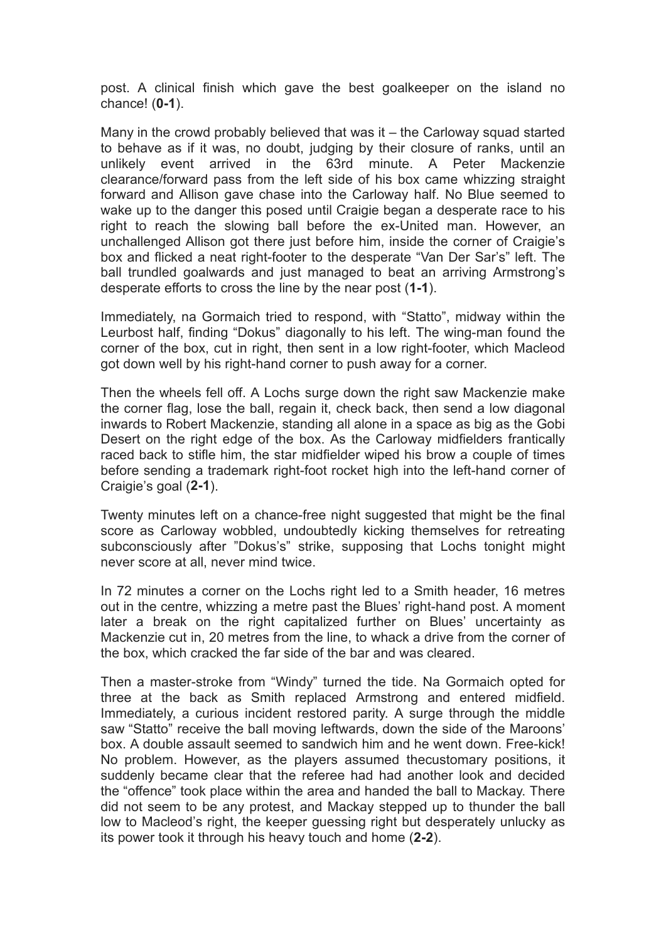post. A clinical finish which gave the best goalkeeper on the island no chance! (**0-1**).

Many in the crowd probably believed that was it – the Carloway squad started to behave as if it was, no doubt, judging by their closure of ranks, until an unlikely event arrived in the 63rd minute. A Peter Mackenzie clearance/forward pass from the left side of his box came whizzing straight forward and Allison gave chase into the Carloway half. No Blue seemed to wake up to the danger this posed until Craigie began a desperate race to his right to reach the slowing ball before the ex-United man. However, an unchallenged Allison got there just before him, inside the corner of Craigie's box and flicked a neat right-footer to the desperate "Van Der Sar's" left. The ball trundled goalwards and just managed to beat an arriving Armstrong's desperate efforts to cross the line by the near post (**1-1**).

Immediately, na Gormaich tried to respond, with "Statto", midway within the Leurbost half, finding "Dokus" diagonally to his left. The wing-man found the corner of the box, cut in right, then sent in a low right-footer, which Macleod got down well by his right-hand corner to push away for a corner.

Then the wheels fell off. A Lochs surge down the right saw Mackenzie make the corner flag, lose the ball, regain it, check back, then send a low diagonal inwards to Robert Mackenzie, standing all alone in a space as big as the Gobi Desert on the right edge of the box. As the Carloway midfielders frantically raced back to stifle him, the star midfielder wiped his brow a couple of times before sending a trademark right-foot rocket high into the left-hand corner of Craigie's goal (**2-1**).

Twenty minutes left on a chance-free night suggested that might be the final score as Carloway wobbled, undoubtedly kicking themselves for retreating subconsciously after "Dokus's" strike, supposing that Lochs tonight might never score at all, never mind twice.

In 72 minutes a corner on the Lochs right led to a Smith header, 16 metres out in the centre, whizzing a metre past the Blues' right-hand post. A moment later a break on the right capitalized further on Blues' uncertainty as Mackenzie cut in, 20 metres from the line, to whack a drive from the corner of the box, which cracked the far side of the bar and was cleared.

Then a master-stroke from "Windy" turned the tide. Na Gormaich opted for three at the back as Smith replaced Armstrong and entered midfield. Immediately, a curious incident restored parity. A surge through the middle saw "Statto" receive the ball moving leftwards, down the side of the Maroons' box. A double assault seemed to sandwich him and he went down. Free-kick! No problem. However, as the players assumed thecustomary positions, it suddenly became clear that the referee had had another look and decided the "offence" took place within the area and handed the ball to Mackay. There did not seem to be any protest, and Mackay stepped up to thunder the ball low to Macleod's right, the keeper guessing right but desperately unlucky as its power took it through his heavy touch and home (**2-2**).